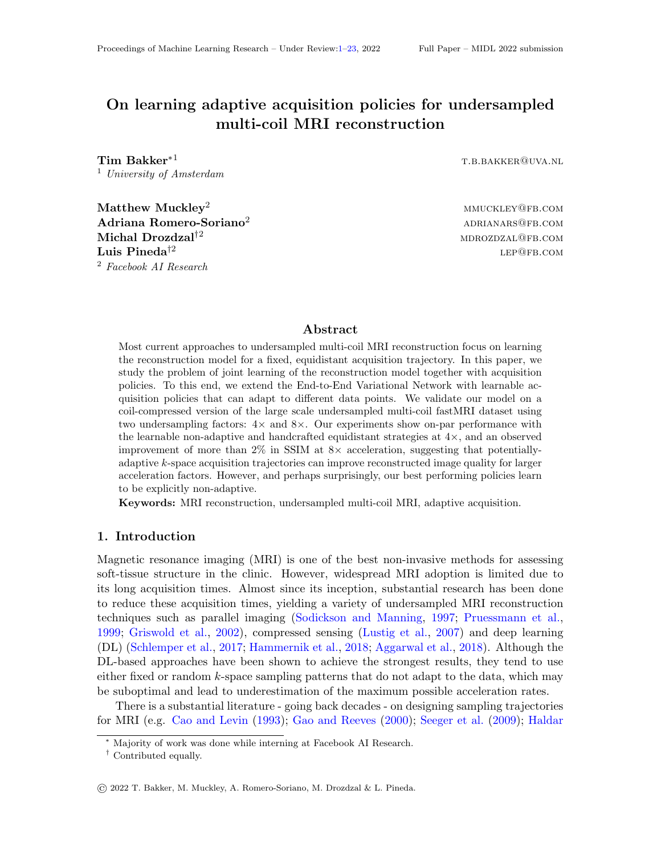# <span id="page-0-19"></span>On learning adaptive acquisition policies for undersampled multi-coil MRI reconstruction

<span id="page-0-13"></span> $\bf Tim\ \, Bakker^{*1}$  the contract of the contract of the contract of the contract of the contract of the contract of the contract of the contract of the contract of the contract of the contract of the contract of the contract <sup>1</sup> *University of Amsterdam*

<span id="page-0-17"></span><span id="page-0-14"></span><span id="page-0-12"></span><span id="page-0-8"></span><span id="page-0-7"></span><span id="page-0-0"></span> $\mathbf{Matchley}^2$  mmuckley<sup>2</sup> mmuckley@fb.com  $\rm{Adriana\;Romero-Soriano^2} \hspace{2cm} \rm{ADRIANARS@FB. COM}$  $\mathbf{Michael}^{\dagger 2}$  mdrozdzal $\mathbf{p}_\mathrm{B, COM}$ **Luis Pineda<sup>†2</sup>** lep@fb.com <sup>2</sup> *Facebook AI Research*

# <span id="page-0-1"></span>Abstract

<span id="page-0-23"></span><span id="page-0-22"></span><span id="page-0-15"></span><span id="page-0-9"></span><span id="page-0-5"></span><span id="page-0-2"></span>Most current approaches to undersampled multi-coil MRI reconstruction focus on learning the reconstruction model for a fixed, equidistant acquisition trajectory. In this paper, we study the problem of joint learning of the reconstruction model together with acquisition policies. To this end, we extend the End-to-End Variational Network with learnable acquisition policies that can adapt to different data points. We validate our model on a coil-compressed version of the large scale undersampled multi-coil fastMRI dataset using two undersampling factors:  $4 \times$  and  $8 \times$ . Our experiments show on-par performance with the learnable non-adaptive and handcrafted equidistant strategies at  $4\times$ , and an observed improvement of more than  $2\%$  in SSIM at  $8\times$  acceleration, suggesting that potentiallyadaptive *k*-space acquisition trajectories can improve reconstructed image quality for larger acceleration factors. However, and perhaps surprisingly, our best performing policies learn to be explicitly non-adaptive.

<span id="page-0-25"></span><span id="page-0-18"></span><span id="page-0-10"></span><span id="page-0-4"></span>Keywords: MRI reconstruction, undersampled multi-coil MRI, adaptive acquisition.

## <span id="page-0-11"></span>1. Introduction

<span id="page-0-24"></span><span id="page-0-20"></span><span id="page-0-6"></span><span id="page-0-3"></span>Magnetic resonance imaging (MRI) is one of the best non-invasive methods for assessing soft-tissue structure in the clinic. However, widespread MRI adoption is limited due to its long acquisition times. Almost since its inception, substantial research has been done to reduce these acquisition times, yielding a variety of undersampled MRI reconstruction techniques such as parallel imaging [\(Sodickson and Manning,](#page-10-0) [1997;](#page-10-0) [Pruessmann et al.,](#page-10-1) [1999;](#page-10-1) [Griswold et al.,](#page-8-0) [2002\)](#page-8-0), compressed sensing [\(Lustig et al.,](#page-9-0) [2007\)](#page-9-0) and deep learning (DL) [\(Schlemper et al.,](#page-10-2) [2017;](#page-10-2) [Hammernik et al.,](#page-9-1) [2018;](#page-9-1) [Aggarwal et al.,](#page-8-1) [2018\)](#page-8-1). Although the DL-based approaches have been shown to achieve the strongest results, they tend to use either fixed or random *k*-space sampling patterns that do not adapt to the data, which may be suboptimal and lead to underestimation of the maximum possible acceleration rates.

<span id="page-0-21"></span>There is a substantial literature - going back decades - on designing sampling trajectories for MRI (e.g. [Cao and Levin](#page-8-2) [\(1993\)](#page-8-2); [Gao and Reeves](#page-8-3) [\(2000\)](#page-8-3); [Seeger et al.](#page-10-3) [\(2009\)](#page-10-3); [Haldar](#page-9-2)

<sup>∗</sup> [Majority of work was done while interning at Facebook AI Research.](#page-9-2)

<span id="page-0-16"></span><sup>†</sup> [Contributed equally.](#page-9-2)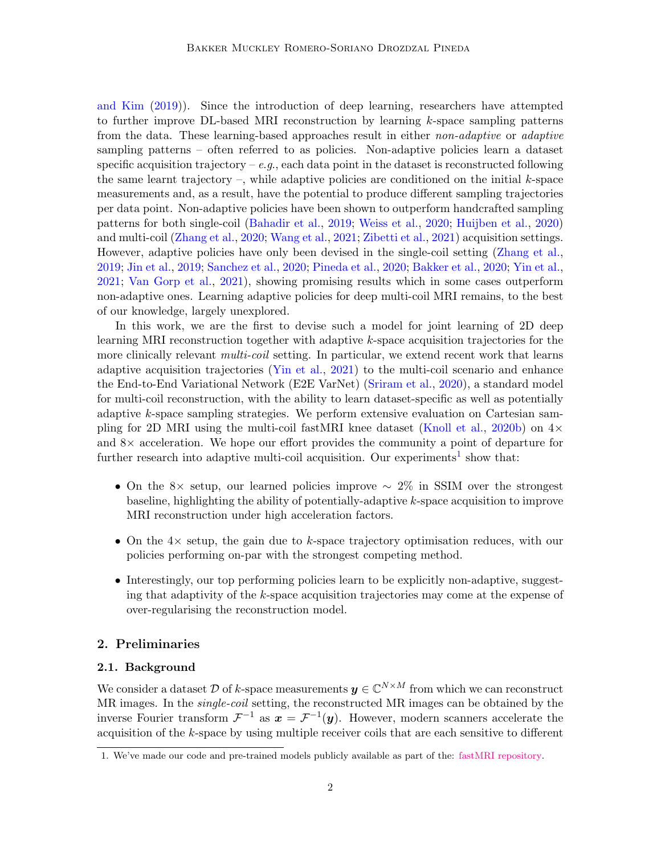[and Kim](#page-9-2) [\(2019\)](#page-9-2)). Since the introduction of deep learning, researchers have attempted to further improve DL-based MRI reconstruction by learning *k*-space sampling patterns from the data. These learning-based approaches result in either *non-adaptive* or *adaptive* sampling patterns – often referred to as policies. Non-adaptive policies learn a dataset specific acquisition trajectory  $-e.g.,$  each data point in the dataset is reconstructed following the same learnt trajectory –, while adaptive policies are conditioned on the initial *k*-space measurements and, as a result, have the potential to produce different sampling trajectories per data point. Non-adaptive policies have been shown to outperform handcrafted sampling patterns for both single-coil [\(Bahadir et al.,](#page-8-4) [2019;](#page-8-4) [Weiss et al.,](#page-11-0) [2020;](#page-11-0) [Huijben et al.,](#page-9-3) [2020\)](#page-9-3) and multi-coil [\(Zhang et al.,](#page-11-1) [2020;](#page-11-1) [Wang et al.,](#page-11-2) [2021;](#page-11-2) [Zibetti et al.,](#page-11-3) [2021\)](#page-11-3) acquisition settings. However, adaptive policies have only been devised in the single-coil setting [\(Zhang et al.,](#page-11-4) [2019;](#page-11-4) [Jin et al.,](#page-9-4) [2019;](#page-9-4) [Sanchez et al.,](#page-10-4) [2020;](#page-10-4) [Pineda et al.,](#page-10-5) [2020;](#page-10-5) [Bakker et al.,](#page-8-5) [2020;](#page-8-5) [Yin et al.,](#page-11-5) [2021;](#page-11-5) [Van Gorp et al.,](#page-10-6) [2021\)](#page-10-6), showing promising results which in some cases outperform non-adaptive ones. Learning adaptive policies for deep multi-coil MRI remains, to the best of our knowledge, largely unexplored.

In this work, we are the first to devise such a model for joint learning of 2D deep learning MRI reconstruction together with adaptive *k*-space acquisition trajectories for the more clinically relevant *multi-coil* setting. In particular, we extend recent work that learns adaptive acquisition trajectories [\(Yin et al.,](#page-11-5) [2021\)](#page-11-5) to the multi-coil scenario and enhance the End-to-End Variational Network (E2E VarNet) [\(Sriram et al.,](#page-10-7) [2020\)](#page-10-7), a standard model for multi-coil reconstruction, with the ability to learn dataset-specific as well as potentially adaptive *k*-space sampling strategies. We perform extensive evaluation on Cartesian sam-pling for 2D MRI using the multi-coil fastMRI knee dataset [\(Knoll et al.,](#page-9-5) [2020b\)](#page-9-5) on  $4\times$ and  $8\times$  acceleration. We hope our effort provides the community a point of departure for further research into adaptive multi-coil acquisition. Our experiments<sup>[1](#page-1-0)</sup> show that:

- On the 8× setup, our learned policies improve  $\sim 2\%$  in SSIM over the strongest baseline, highlighting the ability of potentially-adaptive *k*-space acquisition to improve MRI reconstruction under high acceleration factors.
- On the  $4\times$  setup, the gain due to *k*-space trajectory optimisation reduces, with our policies performing on-par with the strongest competing method.
- Interestingly, our top performing policies learn to be explicitly non-adaptive, suggesting that adaptivity of the *k*-space acquisition trajectories may come at the expense of over-regularising the reconstruction model.

# 2. Preliminaries

#### 2.1. Background

We consider a dataset *D* of *k*-space measurements  $y \in \mathbb{C}^{N \times M}$  from which we can reconstruct MR images. In the *single-coil* setting, the reconstructed MR images can be obtained by the inverse Fourier transform  $\mathcal{F}^{-1}$  as  $\mathbf{x} = \mathcal{F}^{-1}(\mathbf{y})$ . However, modern scanners accelerate the acquisition of the  $k$ -space by using multiple receiver coils that are each sensitive to different

<span id="page-1-0"></span><sup>1.</sup> We've made our code and pre-trained models publicly available as part of the: [fastMRI repository.](https://github.com/facebookresearch/fastMRI)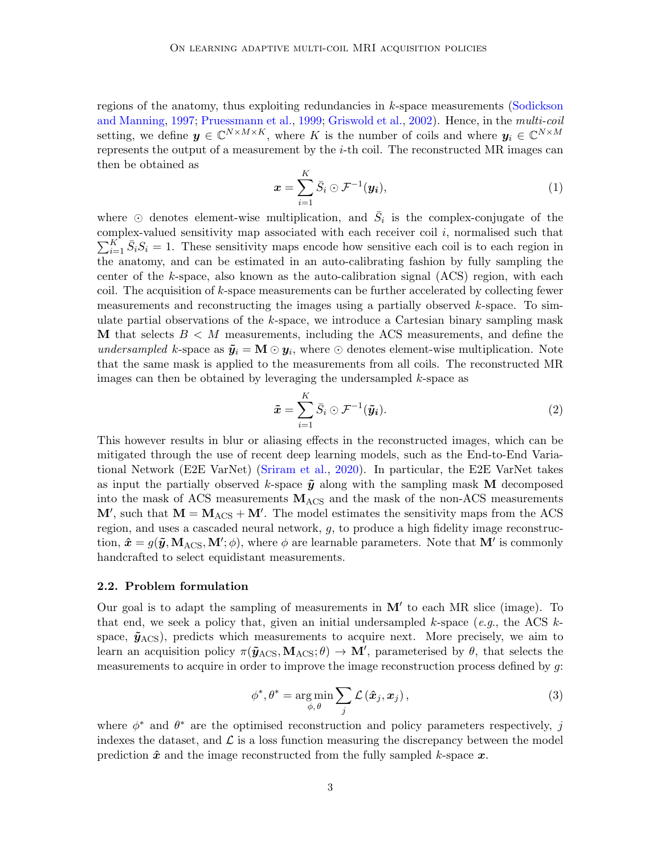regions of the anatomy, thus exploiting redundancies in *k*-space measurements [\(Sodickson](#page-10-0) [and Manning,](#page-10-0) [1997;](#page-10-0) [Pruessmann et al.,](#page-10-1) [1999;](#page-10-1) [Griswold et al.,](#page-8-0) [2002\)](#page-8-0). Hence, in the *multi-coil* setting, we define  $y \in \mathbb{C}^{N \times M \times K}$ , where K is the number of coils and where  $y_i \in \mathbb{C}^{N \times M}$ represents the output of a measurement by the *i*-th coil. The reconstructed MR images can then be obtained as

$$
\boldsymbol{x} = \sum_{i=1}^{K} \bar{S}_i \odot \mathcal{F}^{-1}(\boldsymbol{y_i}), \qquad (1)
$$

where  $\odot$  denotes element-wise multiplication, and  $\bar{S}_i$  is the complex-conjugate of the complex-valued sensitivity map associated with each receiver coil *i*, normalised such that  $\sum_{i=1}^{K} \bar{S}_i S_i = 1$ . These sensitivity maps encode how sensitive each coil is to each region in the anatomy, and can be estimated in an auto-calibrating fashion by fully sampling the center of the *k*-space, also known as the auto-calibration signal (ACS) region, with each coil. The acquisition of *k*-space measurements can be further accelerated by collecting fewer measurements and reconstructing the images using a partially observed *k*-space. To simulate partial observations of the *k*-space, we introduce a Cartesian binary sampling mask M that selects  $B < M$  measurements, including the ACS measurements, and define the *undersampled k*-space as  $\tilde{y}_i = M \odot y_i$ , where  $\odot$  denotes element-wise multiplication. Note that the same mask is applied to the measurements from all coils. The reconstructed MR images can then be obtained by leveraging the undersampled *k*-space as

$$
\tilde{\boldsymbol{x}} = \sum_{i=1}^{K} \bar{S}_i \odot \mathcal{F}^{-1}(\tilde{\boldsymbol{y}}_i).
$$
 (2)

This however results in blur or aliasing effects in the reconstructed images, which can be mitigated through the use of recent deep learning models, such as the End-to-End Variational Network (E2E VarNet) [\(Sriram et al.,](#page-10-7) [2020\)](#page-10-7). In particular, the E2E VarNet takes as input the partially observed *k*-space  $\tilde{y}$  along with the sampling mask M decomposed into the mask of ACS measurements  $M_{\rm ACS}$  and the mask of the non-ACS measurements  $M'$ , such that  $M = M<sub>ACS</sub> + M'$ . The model estimates the sensitivity maps from the ACS region, and uses a cascaded neural network, *g*, to produce a high fidelity image reconstruction,  $\hat{x} = g(\tilde{y}, M_{\text{ACS}}, M'; \phi)$ , where  $\phi$  are learnable parameters. Note that  $M'$  is commonly handcrafted to select equidistant measurements.

#### 2.2. Problem formulation

Our goal is to adapt the sampling of measurements in  $M'$  to each MR slice (image). To that end, we seek a policy that, given an initial undersampled *k*-space (*e*.*g*., the ACS *k*space,  $\tilde{y}_{\text{ACS}}$ ), predicts which measurements to acquire next. More precisely, we aim to learn an acquisition policy  $\pi(\tilde{y}_{\text{ACS}}, M_{\text{ACS}}; \theta) \to M'$ , parameterised by  $\theta$ , that selects the measurements to acquire in order to improve the image reconstruction process defined by *g*:

$$
\phi^*, \theta^* = \underset{\phi, \theta}{\arg \min} \sum_j \mathcal{L}(\hat{\boldsymbol{x}}_j, \boldsymbol{x}_j), \qquad (3)
$$

where  $\phi^*$  and  $\theta^*$  are the optimised reconstruction and policy parameters respectively, *j* indexes the dataset, and  $\mathcal L$  is a loss function measuring the discrepancy between the model prediction  $\hat{x}$  and the image reconstructed from the fully sampled *k*-space  $\hat{x}$ .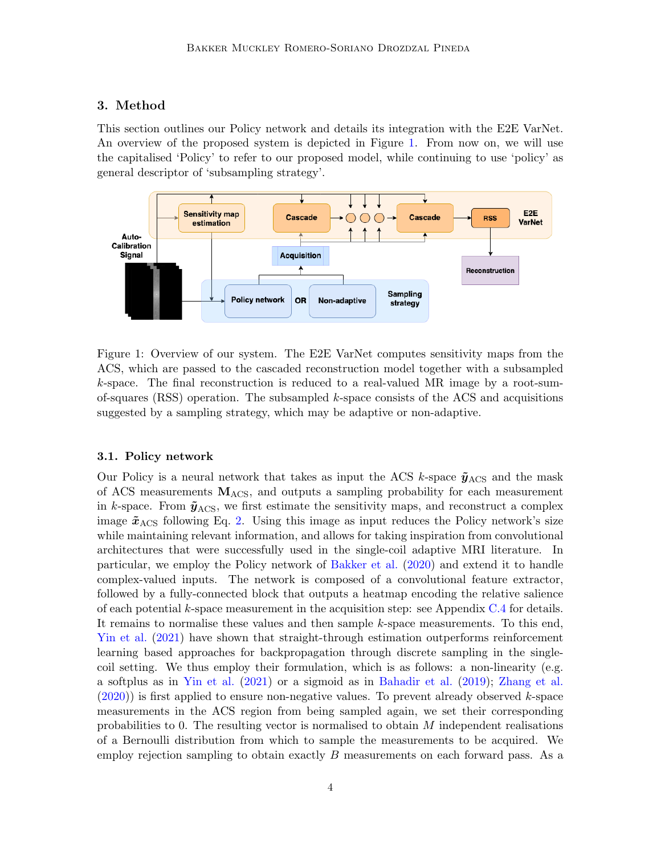# 3. Method

This section outlines our Policy network and details its integration with the E2E VarNet. An overview of the proposed system is depicted in Figure [1.](#page-0-0) From now on, we will use the capitalised 'Policy' to refer to our proposed model, while continuing to use 'policy' as general descriptor of 'subsampling strategy'.



Figure 1: Overview of our system. The E2E VarNet computes sensitivity maps from the ACS, which are passed to the cascaded reconstruction model together with a subsampled *k*-space. The final reconstruction is reduced to a real-valued MR image by a root-sumof-squares (RSS) operation. The subsampled *k*-space consists of the ACS and acquisitions suggested by a sampling strategy, which may be adaptive or non-adaptive.

## 3.1. Policy network

Our Policy is a neural network that takes as input the ACS *k*-space  $\tilde{y}_{\text{ACS}}$  and the mask of ACS measurements  $M_{\rm ACS}$ , and outputs a sampling probability for each measurement in *k*-space. From  $\tilde{y}_{\text{ACS}}$ , we first estimate the sensitivity maps, and reconstruct a complex image  $\tilde{x}_{\text{ACS}}$  following Eq. [2.](#page-0-1) Using this image as input reduces the Policy network's size while maintaining relevant information, and allows for taking inspiration from convolutional architectures that were successfully used in the single-coil adaptive MRI literature. In particular, we employ the Policy network of [Bakker et al.](#page-0-2) [\(2020\)](#page-0-2) and extend it to handle complex-valued inputs. The network is composed of a convolutional feature extractor, followed by a fully-connected block that outputs a heatmap encoding the relative salience of each potential *k*-space measurement in the acquisition step: see Appendix [C.4](#page-0-3) for details. It remains to normalise these values and then sample *k*-space measurements. To this end, [Yin et al.](#page-0-4) [\(2021\)](#page-0-4) have shown that straight-through estimation outperforms reinforcement learning based approaches for backpropagation through discrete sampling in the singlecoil setting. We thus employ their formulation, which is as follows: a non-linearity (e.g. a softplus as in [Yin et al.](#page-0-4) [\(2021\)](#page-0-4) or a sigmoid as in [Bahadir et al.](#page-0-5) [\(2019\)](#page-0-5); [Zhang et al.](#page-0-6) [\(2020\)](#page-0-6)) is first applied to ensure non-negative values. To prevent already observed *k*-space measurements in the ACS region from being sampled again, we set their corresponding probabilities to 0. The resulting vector is normalised to obtain *M* independent realisations of a Bernoulli distribution from which to sample the measurements to be acquired. We employ rejection sampling to obtain exactly *B* measurements on each forward pass. As a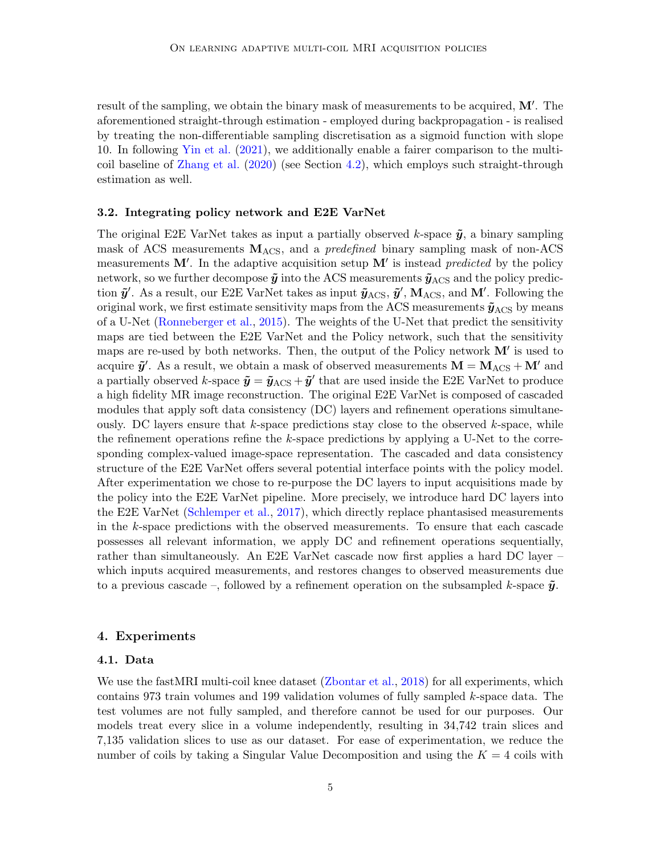result of the sampling, we obtain the binary mask of measurements to be acquired,  $M'$ . The aforementioned straight-through estimation - employed during backpropagation - is realised by treating the non-differentiable sampling discretisation as a sigmoid function with slope 10. In following [Yin et al.](#page-0-4) [\(2021\)](#page-0-4), we additionally enable a fairer comparison to the multicoil baseline of [Zhang et al.](#page-0-6) [\(2020\)](#page-0-6) (see Section [4.2\)](#page-0-7), which employs such straight-through estimation as well.

#### 3.2. Integrating policy network and E2E VarNet

The original E2E VarNet takes as input a partially observed *k*-space  $\tilde{y}$ , a binary sampling mask of ACS measurements MACS, and a *predefined* binary sampling mask of non-ACS measurements  $M'$ . In the adaptive acquisition setup  $M'$  is instead *predicted* by the policy network, so we further decompose  $\tilde{y}$  into the ACS measurements  $\tilde{y}_{\text{ACS}}$  and the policy prediction  $\tilde{y}'$ . As a result, our E2E VarNet takes as input  $\tilde{y}_{\text{ACS}}, \tilde{y}'$ ,  $M_{\text{ACS}}$ , and  $M'$ . Following the original work, we first estimate sensitivity maps from the ACS measurements  $\tilde{\mathbf{y}}_{\text{ACS}}$  by means of a U-Net [\(Ronneberger et al.,](#page-0-8) [2015\)](#page-0-8). The weights of the U-Net that predict the sensitivity maps are tied between the E2E VarNet and the Policy network, such that the sensitivity maps are re-used by both networks. Then, the output of the Policy network  $\mathbf{M}'$  is used to acquire  $\tilde{y}'$ . As a result, we obtain a mask of observed measurements  $\mathbf{M} = \mathbf{M}_{\mathrm{ACS}} + \mathbf{M}'$  and a partially observed *k*-space  $\tilde{\mathbf{y}} = \tilde{\mathbf{y}}_{\text{ACS}} + \tilde{\mathbf{y}}'$  that are used inside the E2E VarNet to produce a high fidelity MR image reconstruction. The original E2E VarNet is composed of cascaded modules that apply soft data consistency (DC) layers and refinement operations simultaneously. DC layers ensure that *k*-space predictions stay close to the observed *k*-space, while the refinement operations refine the *k*-space predictions by applying a U-Net to the corresponding complex-valued image-space representation. The cascaded and data consistency structure of the E2E VarNet offers several potential interface points with the policy model. After experimentation we chose to re-purpose the DC layers to input acquisitions made by the policy into the E2E VarNet pipeline. More precisely, we introduce hard DC layers into the E2E VarNet [\(Schlemper et al.,](#page-0-9) [2017\)](#page-0-9), which directly replace phantasised measurements in the *k*-space predictions with the observed measurements. To ensure that each cascade possesses all relevant information, we apply DC and refinement operations sequentially, rather than simultaneously. An E2E VarNet cascade now first applies a hard DC layer – which inputs acquired measurements, and restores changes to observed measurements due to a previous cascade –, followed by a refinement operation on the subsampled *k*-space  $\tilde{y}$ .

#### 4. Experiments

#### 4.1. Data

We use the fastMRI multi-coil knee dataset [\(Zbontar et al.,](#page-0-10) [2018\)](#page-0-10) for all experiments, which contains 973 train volumes and 199 validation volumes of fully sampled *k*-space data. The test volumes are not fully sampled, and therefore cannot be used for our purposes. Our models treat every slice in a volume independently, resulting in 34,742 train slices and 7,135 validation slices to use as our dataset. For ease of experimentation, we reduce the number of coils by taking a Singular Value Decomposition and using the  $K = 4$  coils with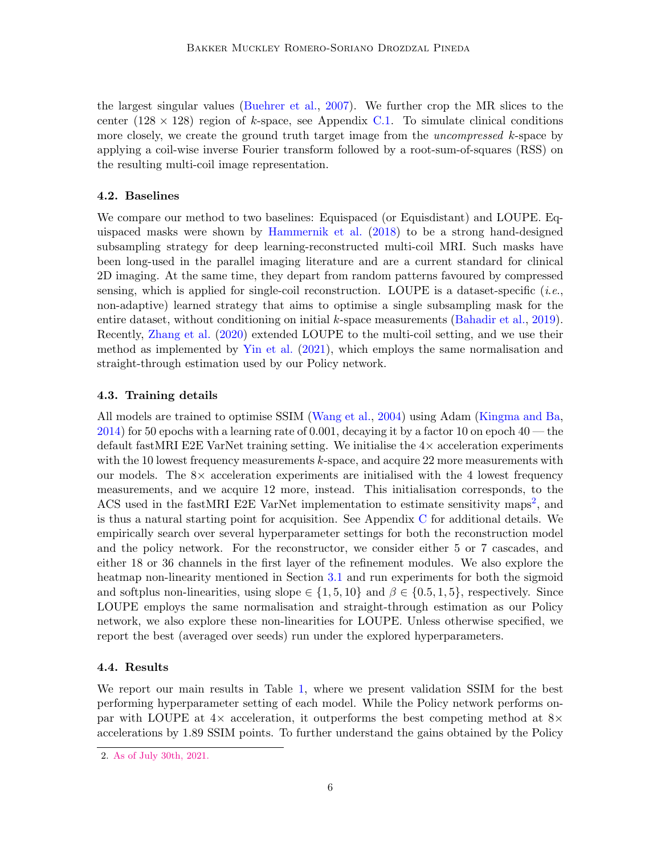the largest singular values [\(Buehrer et al.,](#page-0-11) [2007\)](#page-0-11). We further crop the MR slices to the center  $(128 \times 128)$  region of *k*-space, see Appendix [C.1.](#page-0-12) To simulate clinical conditions more closely, we create the ground truth target image from the *uncompressed k*-space by applying a coil-wise inverse Fourier transform followed by a root-sum-of-squares (RSS) on the resulting multi-coil image representation.

#### 4.2. Baselines

We compare our method to two baselines: Equispaced (or Equisdistant) and LOUPE. Equispaced masks were shown by [Hammernik et al.](#page-0-13) [\(2018\)](#page-0-13) to be a strong hand-designed subsampling strategy for deep learning-reconstructed multi-coil MRI. Such masks have been long-used in the parallel imaging literature and are a current standard for clinical 2D imaging. At the same time, they depart from random patterns favoured by compressed sensing, which is applied for single-coil reconstruction. LOUPE is a dataset-specific (*i*.*e*., non-adaptive) learned strategy that aims to optimise a single subsampling mask for the entire dataset, without conditioning on initial *k*-space measurements [\(Bahadir et al.,](#page-0-5) [2019\)](#page-0-5). Recently, [Zhang et al.](#page-0-6) [\(2020\)](#page-0-6) extended LOUPE to the multi-coil setting, and we use their method as implemented by [Yin et al.](#page-0-4) [\(2021\)](#page-0-4), which employs the same normalisation and straight-through estimation used by our Policy network.

#### 4.3. Training details

All models are trained to optimise SSIM [\(Wang et al.,](#page-0-14) [2004\)](#page-0-14) using Adam [\(Kingma and Ba,](#page-0-15) [2014\)](#page-0-15) for 50 epochs with a learning rate of 0*.*001, decaying it by a factor 10 on epoch 40 — the default fastMRI E2E VarNet training setting. We initialise the  $4\times$  acceleration experiments with the 10 lowest frequency measurements *k*-space, and acquire 22 more measurements with our models. The  $8\times$  acceleration experiments are initialised with the 4 lowest frequency measurements, and we acquire 12 more, instead. This initialisation corresponds, to the ACS used in the fastMRI E[2](#page-0-16)E VarNet implementation to estimate sensitivity maps<sup>2</sup>, and is thus a natural starting point for acquisition. See Appendix [C](#page-0-17) for additional details. We empirically search over several hyperparameter settings for both the reconstruction model and the policy network. For the reconstructor, we consider either 5 or 7 cascades, and either 18 or 36 channels in the first layer of the refinement modules. We also explore the heatmap non-linearity mentioned in Section [3.1](#page-0-18) and run experiments for both the sigmoid and softplus non-linearities, using slope  $\in \{1, 5, 10\}$  and  $\beta \in \{0.5, 1.5\}$ , respectively. Since LOUPE employs the same normalisation and straight-through estimation as our Policy network, we also explore these non-linearities for LOUPE. Unless otherwise specified, we report the best (averaged over seeds) run under the explored hyperparameters.

#### 4.4. Results

We report our main results in Table [1,](#page-0-19) where we present validation SSIM for the best performing hyperparameter setting of each model. While the Policy network performs onpar with LOUPE at  $4\times$  acceleration, it outperforms the best competing method at  $8\times$ accelerations by 1*.*89 SSIM points. To further understand the gains obtained by the Policy

<sup>2.</sup> [As of July 30th, 2021.](https://github.com/facebookresearch/fastMRI/commit/ada72932ba5b0486c6f11e13534ea91cb165b789)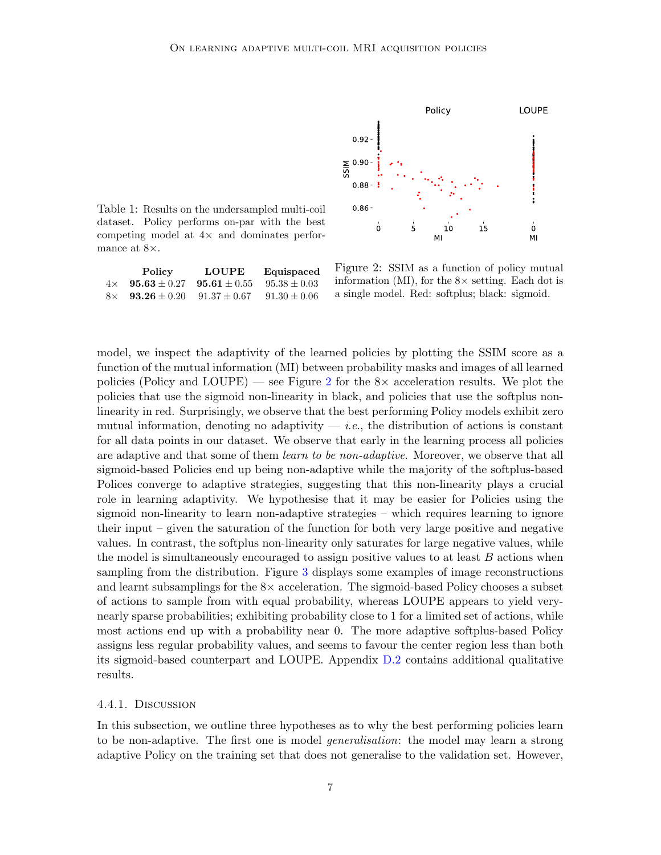

Table 1: Results on the undersampled multi-coil dataset. Policy performs on-par with the best competing model at  $4\times$  and dominates performance at  $8\times$ .

|           | <b>Policy</b>             | <b>LOUPE</b>     | Equispaced       |
|-----------|---------------------------|------------------|------------------|
| $4\times$ | $95.63 \pm 0.27$          | $95.61 \pm 0.55$ | $95.38 \pm 0.03$ |
|           | $8 \times 93.26 \pm 0.20$ | $91.37 \pm 0.67$ | $91.30 \pm 0.06$ |

Figure 2: SSIM as a function of policy mutual information (MI), for the  $8\times$  setting. Each dot is a single model. Red: softplus; black: sigmoid.

model, we inspect the adaptivity of the learned policies by plotting the SSIM score as a function of the mutual information (MI) between probability masks and images of all learned policies (Policy and LOUPE) — see Figure [2](#page-0-19) for the  $8\times$  acceleration results. We plot the policies that use the sigmoid non-linearity in black, and policies that use the softplus nonlinearity in red. Surprisingly, we observe that the best performing Policy models exhibit zero mutual information, denoting no adaptivity  $-$  *i.e.*, the distribution of actions is constant for all data points in our dataset. We observe that early in the learning process all policies are adaptive and that some of them *learn to be non-adaptive*. Moreover, we observe that all sigmoid-based Policies end up being non-adaptive while the majority of the softplus-based Polices converge to adaptive strategies, suggesting that this non-linearity plays a crucial role in learning adaptivity. We hypothesise that it may be easier for Policies using the sigmoid non-linearity to learn non-adaptive strategies – which requires learning to ignore their input – given the saturation of the function for both very large positive and negative values. In contrast, the softplus non-linearity only saturates for large negative values, while the model is simultaneously encouraged to assign positive values to at least *B* actions when sampling from the distribution. Figure [3](#page-0-19) displays some examples of image reconstructions and learnt subsamplings for the  $8\times$  acceleration. The sigmoid-based Policy chooses a subset of actions to sample from with equal probability, whereas LOUPE appears to yield verynearly sparse probabilities; exhibiting probability close to 1 for a limited set of actions, while most actions end up with a probability near 0. The more adaptive softplus-based Policy assigns less regular probability values, and seems to favour the center region less than both its sigmoid-based counterpart and LOUPE. Appendix [D.2](#page-0-20) contains additional qualitative results.

#### 4.4.1. Discussion

In this subsection, we outline three hypotheses as to why the best performing policies learn to be non-adaptive. The first one is model *generalisation*: the model may learn a strong adaptive Policy on the training set that does not generalise to the validation set. However,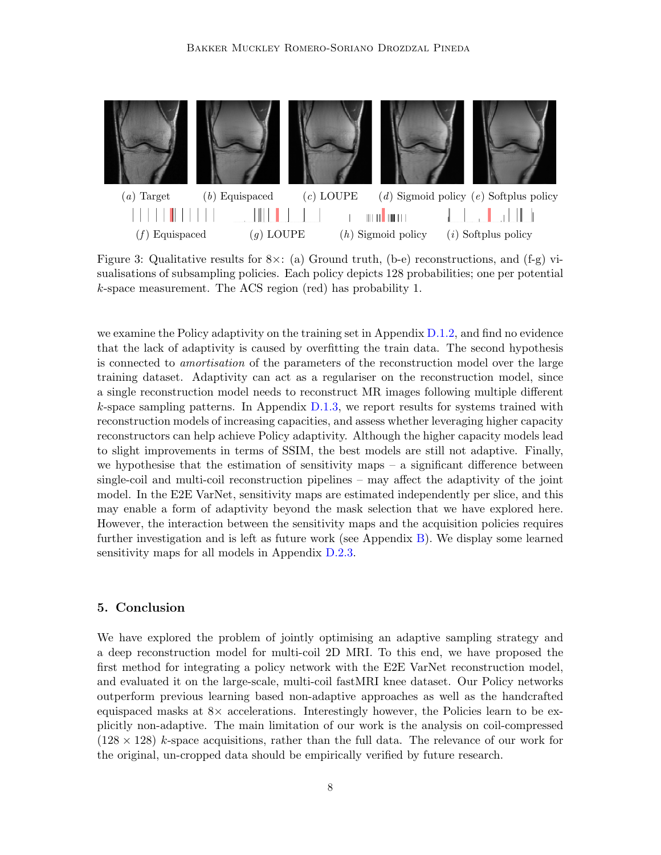

Figure 3: Qualitative results for  $8\times$ : (a) Ground truth, (b-e) reconstructions, and (f-g) visualisations of subsampling policies. Each policy depicts 128 probabilities; one per potential *k*-space measurement. The ACS region (red) has probability 1.

we examine the Policy adaptivity on the training set in Appendix [D.1.2,](#page-0-21) and find no evidence that the lack of adaptivity is caused by overfitting the train data. The second hypothesis is connected to *amortisation* of the parameters of the reconstruction model over the large training dataset. Adaptivity can act as a regulariser on the reconstruction model, since a single reconstruction model needs to reconstruct MR images following multiple different *k*-space sampling patterns. In Appendix [D.1.3,](#page-0-22) we report results for systems trained with reconstruction models of increasing capacities, and assess whether leveraging higher capacity reconstructors can help achieve Policy adaptivity. Although the higher capacity models lead to slight improvements in terms of SSIM, the best models are still not adaptive. Finally, we hypothesise that the estimation of sensitivity maps  $-$  a significant difference between single-coil and multi-coil reconstruction pipelines  $-$  may affect the adaptivity of the joint model. In the E2E VarNet, sensitivity maps are estimated independently per slice, and this may enable a form of adaptivity beyond the mask selection that we have explored here. However, the interaction between the sensitivity maps and the acquisition policies requires further investigation and is left as future work (see Appendix [B\)](#page-0-23). We display some learned sensitivity maps for all models in Appendix [D.2.3.](#page-0-24)

# 5. Conclusion

We have explored the problem of jointly optimising an adaptive sampling strategy and a deep reconstruction model for multi-coil 2D MRI. To this end, we have proposed the first method for integrating a policy network with the E2E VarNet reconstruction model, and evaluated it on the large-scale, multi-coil fastMRI knee dataset. Our Policy networks outperform previous learning based non-adaptive approaches as well as the handcrafted equispaced masks at  $8\times$  accelerations. Interestingly however, the Policies learn to be explicitly non-adaptive. The main limitation of our work is the analysis on coil-compressed  $(128 \times 128)$  *k*-space acquisitions, rather than the full data. The relevance of our work for the original, un-cropped data should be empirically verified by future research.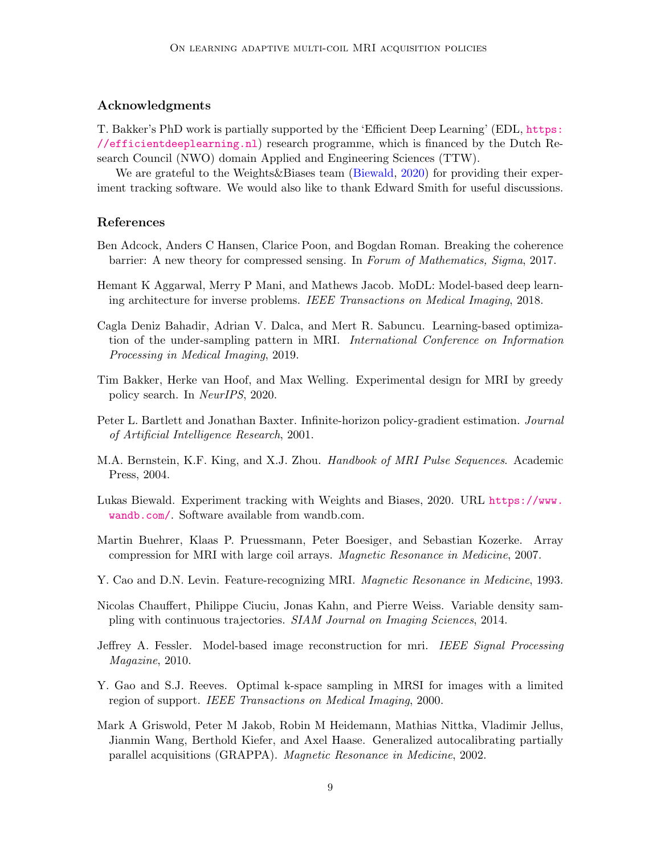## Acknowledgments

T. Bakker's PhD work is partially supported by the 'Efficient Deep Learning' (EDL, [https:](https://efficientdeeplearning.nl) [//efficientdeeplearning.nl](https://efficientdeeplearning.nl)) research programme, which is financed by the Dutch Research Council (NWO) domain Applied and Engineering Sciences (TTW).

We are grateful to the Weights & Biases team [\(Biewald,](#page-0-25) [2020\)](#page-0-25) for providing their experiment tracking software. We would also like to thank Edward Smith for useful discussions.

## References

- Ben Adcock, Anders C Hansen, Clarice Poon, and Bogdan Roman. Breaking the coherence barrier: A new theory for compressed sensing. In *Forum of Mathematics, Sigma*, 2017.
- <span id="page-8-1"></span>Hemant K Aggarwal, Merry P Mani, and Mathews Jacob. MoDL: Model-based deep learning architecture for inverse problems. *IEEE Transactions on Medical Imaging*, 2018.
- <span id="page-8-4"></span>Cagla Deniz Bahadir, Adrian V. Dalca, and Mert R. Sabuncu. Learning-based optimization of the under-sampling pattern in MRI. *International Conference on Information Processing in Medical Imaging*, 2019.
- <span id="page-8-5"></span>Tim Bakker, Herke van Hoof, and Max Welling. Experimental design for MRI by greedy policy search. In *NeurIPS*, 2020.
- Peter L. Bartlett and Jonathan Baxter. Infinite-horizon policy-gradient estimation. *Journal of Artificial Intelligence Research*, 2001.
- M.A. Bernstein, K.F. King, and X.J. Zhou. *Handbook of MRI Pulse Sequences*. Academic Press, 2004.
- Lukas Biewald. Experiment tracking with Weights and Biases, 2020. URL [https://www.](https://www.wandb.com/) [wandb.com/](https://www.wandb.com/). Software available from wandb.com.
- Martin Buehrer, Klaas P. Pruessmann, Peter Boesiger, and Sebastian Kozerke. Array compression for MRI with large coil arrays. *Magnetic Resonance in Medicine*, 2007.
- <span id="page-8-2"></span>Y. Cao and D.N. Levin. Feature-recognizing MRI. *Magnetic Resonance in Medicine*, 1993.
- Nicolas Chauffert, Philippe Ciuciu, Jonas Kahn, and Pierre Weiss. Variable density sampling with continuous trajectories. *SIAM Journal on Imaging Sciences*, 2014.
- Jeffrey A. Fessler. Model-based image reconstruction for mri. *IEEE Signal Processing Magazine*, 2010.
- <span id="page-8-3"></span>Y. Gao and S.J. Reeves. Optimal k-space sampling in MRSI for images with a limited region of support. *IEEE Transactions on Medical Imaging*, 2000.
- <span id="page-8-0"></span>Mark A Griswold, Peter M Jakob, Robin M Heidemann, Mathias Nittka, Vladimir Jellus, Jianmin Wang, Berthold Kiefer, and Axel Haase. Generalized autocalibrating partially parallel acquisitions (GRAPPA). *Magnetic Resonance in Medicine*, 2002.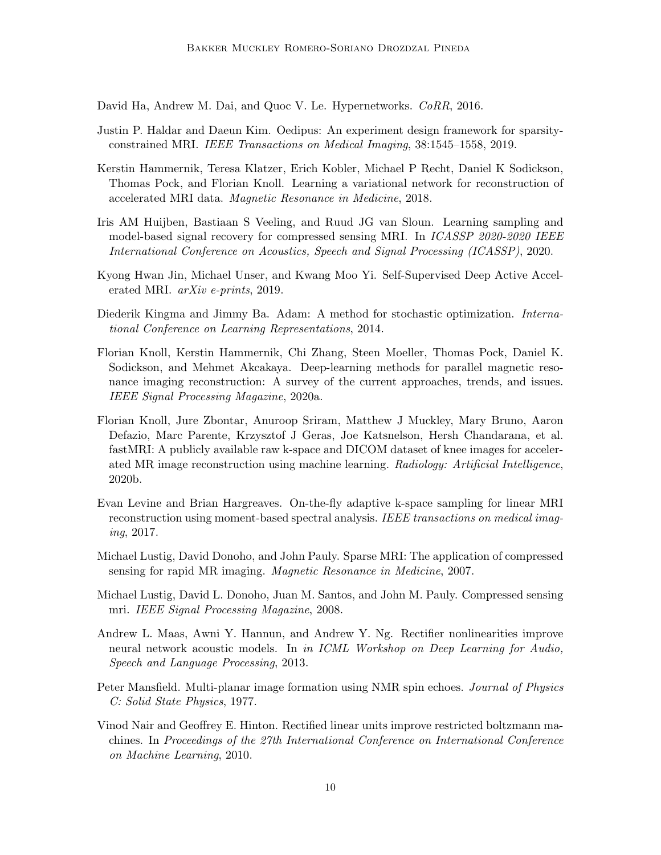David Ha, Andrew M. Dai, and Quoc V. Le. Hypernetworks. *CoRR*, 2016.

- <span id="page-9-2"></span>Justin P. Haldar and Daeun Kim. Oedipus: An experiment design framework for sparsityconstrained MRI. *IEEE Transactions on Medical Imaging*, 38:1545–1558, 2019.
- <span id="page-9-1"></span>Kerstin Hammernik, Teresa Klatzer, Erich Kobler, Michael P Recht, Daniel K Sodickson, Thomas Pock, and Florian Knoll. Learning a variational network for reconstruction of accelerated MRI data. *Magnetic Resonance in Medicine*, 2018.
- <span id="page-9-3"></span>Iris AM Huijben, Bastiaan S Veeling, and Ruud JG van Sloun. Learning sampling and model-based signal recovery for compressed sensing MRI. In *ICASSP 2020-2020 IEEE International Conference on Acoustics, Speech and Signal Processing (ICASSP)*, 2020.
- <span id="page-9-4"></span>Kyong Hwan Jin, Michael Unser, and Kwang Moo Yi. Self-Supervised Deep Active Accelerated MRI. *arXiv e-prints*, 2019.
- Diederik Kingma and Jimmy Ba. Adam: A method for stochastic optimization. *International Conference on Learning Representations*, 2014.
- Florian Knoll, Kerstin Hammernik, Chi Zhang, Steen Moeller, Thomas Pock, Daniel K. Sodickson, and Mehmet Akcakaya. Deep-learning methods for parallel magnetic resonance imaging reconstruction: A survey of the current approaches, trends, and issues. *IEEE Signal Processing Magazine*, 2020a.
- <span id="page-9-5"></span>Florian Knoll, Jure Zbontar, Anuroop Sriram, Matthew J Muckley, Mary Bruno, Aaron Defazio, Marc Parente, Krzysztof J Geras, Joe Katsnelson, Hersh Chandarana, et al. fastMRI: A publicly available raw k-space and DICOM dataset of knee images for accelerated MR image reconstruction using machine learning. *Radiology: Artificial Intelligence*, 2020b.
- Evan Levine and Brian Hargreaves. On-the-fly adaptive k-space sampling for linear MRI reconstruction using moment-based spectral analysis. *IEEE transactions on medical imaging*, 2017.
- <span id="page-9-0"></span>Michael Lustig, David Donoho, and John Pauly. Sparse MRI: The application of compressed sensing for rapid MR imaging. *Magnetic Resonance in Medicine*, 2007.
- Michael Lustig, David L. Donoho, Juan M. Santos, and John M. Pauly. Compressed sensing mri. *IEEE Signal Processing Magazine*, 2008.
- Andrew L. Maas, Awni Y. Hannun, and Andrew Y. Ng. Rectifier nonlinearities improve neural network acoustic models. In *in ICML Workshop on Deep Learning for Audio, Speech and Language Processing*, 2013.
- Peter Mansfield. Multi-planar image formation using NMR spin echoes. *Journal of Physics C: Solid State Physics*, 1977.
- Vinod Nair and Geoffrey E. Hinton. Rectified linear units improve restricted boltzmann machines. In *Proceedings of the 27th International Conference on International Conference on Machine Learning*, 2010.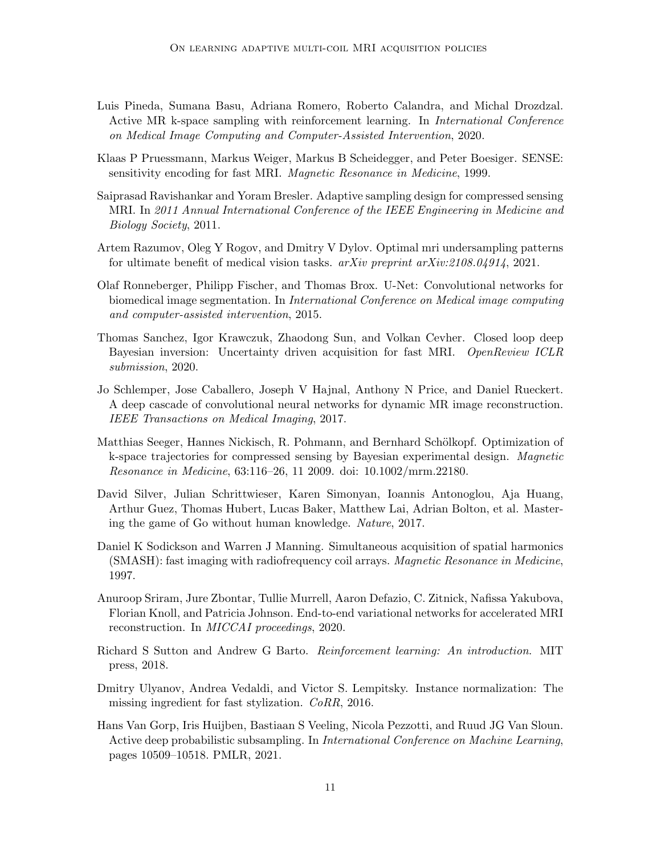- <span id="page-10-5"></span>Luis Pineda, Sumana Basu, Adriana Romero, Roberto Calandra, and Michal Drozdzal. Active MR k-space sampling with reinforcement learning. In *International Conference on Medical Image Computing and Computer-Assisted Intervention*, 2020.
- <span id="page-10-1"></span>Klaas P Pruessmann, Markus Weiger, Markus B Scheidegger, and Peter Boesiger. SENSE: sensitivity encoding for fast MRI. *Magnetic Resonance in Medicine*, 1999.
- Saiprasad Ravishankar and Yoram Bresler. Adaptive sampling design for compressed sensing MRI. In *2011 Annual International Conference of the IEEE Engineering in Medicine and Biology Society*, 2011.
- Artem Razumov, Oleg Y Rogov, and Dmitry V Dylov. Optimal mri undersampling patterns for ultimate benefit of medical vision tasks. *arXiv preprint arXiv:2108.04914*, 2021.
- Olaf Ronneberger, Philipp Fischer, and Thomas Brox. U-Net: Convolutional networks for biomedical image segmentation. In *International Conference on Medical image computing and computer-assisted intervention*, 2015.
- <span id="page-10-4"></span>Thomas Sanchez, Igor Krawczuk, Zhaodong Sun, and Volkan Cevher. Closed loop deep Bayesian inversion: Uncertainty driven acquisition for fast MRI. *OpenReview ICLR submission*, 2020.
- <span id="page-10-2"></span>Jo Schlemper, Jose Caballero, Joseph V Hajnal, Anthony N Price, and Daniel Rueckert. A deep cascade of convolutional neural networks for dynamic MR image reconstruction. *IEEE Transactions on Medical Imaging*, 2017.
- <span id="page-10-3"></span>Matthias Seeger, Hannes Nickisch, R. Pohmann, and Bernhard Schölkopf. Optimization of k-space trajectories for compressed sensing by Bayesian experimental design. *Magnetic Resonance in Medicine*, 63:116–26, 11 2009. doi: 10.1002/mrm.22180.
- David Silver, Julian Schrittwieser, Karen Simonyan, Ioannis Antonoglou, Aja Huang, Arthur Guez, Thomas Hubert, Lucas Baker, Matthew Lai, Adrian Bolton, et al. Mastering the game of Go without human knowledge. *Nature*, 2017.
- <span id="page-10-0"></span>Daniel K Sodickson and Warren J Manning. Simultaneous acquisition of spatial harmonics (SMASH): fast imaging with radiofrequency coil arrays. *Magnetic Resonance in Medicine*, 1997.
- <span id="page-10-7"></span>Anuroop Sriram, Jure Zbontar, Tullie Murrell, Aaron Defazio, C. Zitnick, Nafissa Yakubova, Florian Knoll, and Patricia Johnson. End-to-end variational networks for accelerated MRI reconstruction. In *MICCAI proceedings*, 2020.
- Richard S Sutton and Andrew G Barto. *Reinforcement learning: An introduction*. MIT press, 2018.
- Dmitry Ulyanov, Andrea Vedaldi, and Victor S. Lempitsky. Instance normalization: The missing ingredient for fast stylization. *CoRR*, 2016.
- <span id="page-10-6"></span>Hans Van Gorp, Iris Huijben, Bastiaan S Veeling, Nicola Pezzotti, and Ruud JG Van Sloun. Active deep probabilistic subsampling. In *International Conference on Machine Learning*, pages 10509–10518. PMLR, 2021.